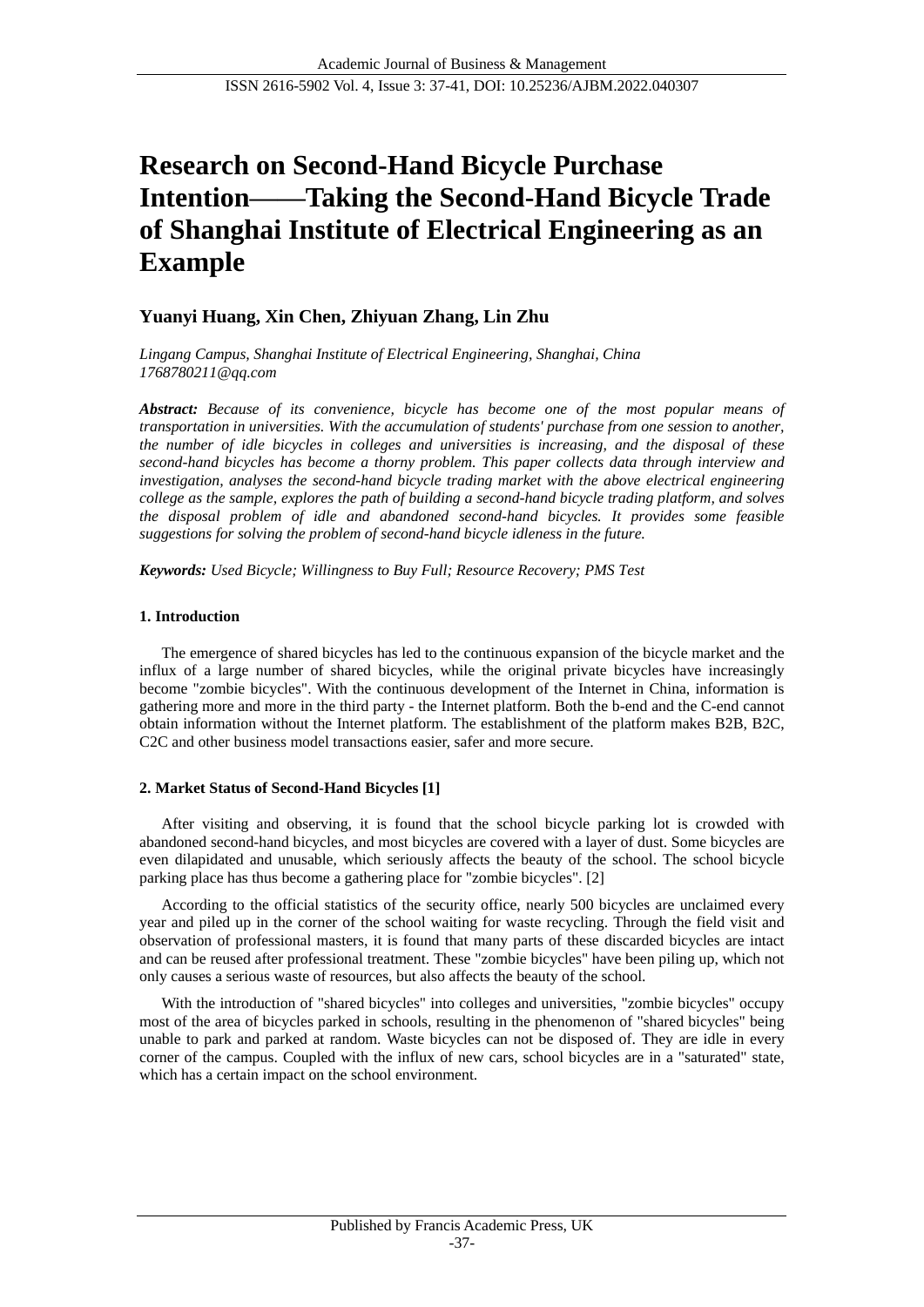# **Research on Second-Hand Bicycle Purchase Intention——Taking the Second-Hand Bicycle Trade of Shanghai Institute of Electrical Engineering as an Example**

# **Yuanyi Huang, Xin Chen, Zhiyuan Zhang, Lin Zhu**

*Lingang Campus, Shanghai Institute of Electrical Engineering, Shanghai, China 1768780211@qq.com*

*Abstract: Because of its convenience, bicycle has become one of the most popular means of transportation in universities. With the accumulation of students' purchase from one session to another, the number of idle bicycles in colleges and universities is increasing, and the disposal of these second-hand bicycles has become a thorny problem. This paper collects data through interview and investigation, analyses the second-hand bicycle trading market with the above electrical engineering college as the sample, explores the path of building a second-hand bicycle trading platform, and solves the disposal problem of idle and abandoned second-hand bicycles. It provides some feasible suggestions for solving the problem of second-hand bicycle idleness in the future.*

*Keywords: Used Bicycle; Willingness to Buy Full; Resource Recovery; PMS Test*

#### **1. Introduction**

The emergence of shared bicycles has led to the continuous expansion of the bicycle market and the influx of a large number of shared bicycles, while the original private bicycles have increasingly become "zombie bicycles". With the continuous development of the Internet in China, information is gathering more and more in the third party - the Internet platform. Both the b-end and the C-end cannot obtain information without the Internet platform. The establishment of the platform makes B2B, B2C, C2C and other business model transactions easier, safer and more secure.

### **2. Market Status of Second-Hand Bicycles [1]**

After visiting and observing, it is found that the school bicycle parking lot is crowded with abandoned second-hand bicycles, and most bicycles are covered with a layer of dust. Some bicycles are even dilapidated and unusable, which seriously affects the beauty of the school. The school bicycle parking place has thus become a gathering place for "zombie bicycles". [2]

According to the official statistics of the security office, nearly 500 bicycles are unclaimed every year and piled up in the corner of the school waiting for waste recycling. Through the field visit and observation of professional masters, it is found that many parts of these discarded bicycles are intact and can be reused after professional treatment. These "zombie bicycles" have been piling up, which not only causes a serious waste of resources, but also affects the beauty of the school.

With the introduction of "shared bicycles" into colleges and universities, "zombie bicycles" occupy most of the area of bicycles parked in schools, resulting in the phenomenon of "shared bicycles" being unable to park and parked at random. Waste bicycles can not be disposed of. They are idle in every corner of the campus. Coupled with the influx of new cars, school bicycles are in a "saturated" state, which has a certain impact on the school environment.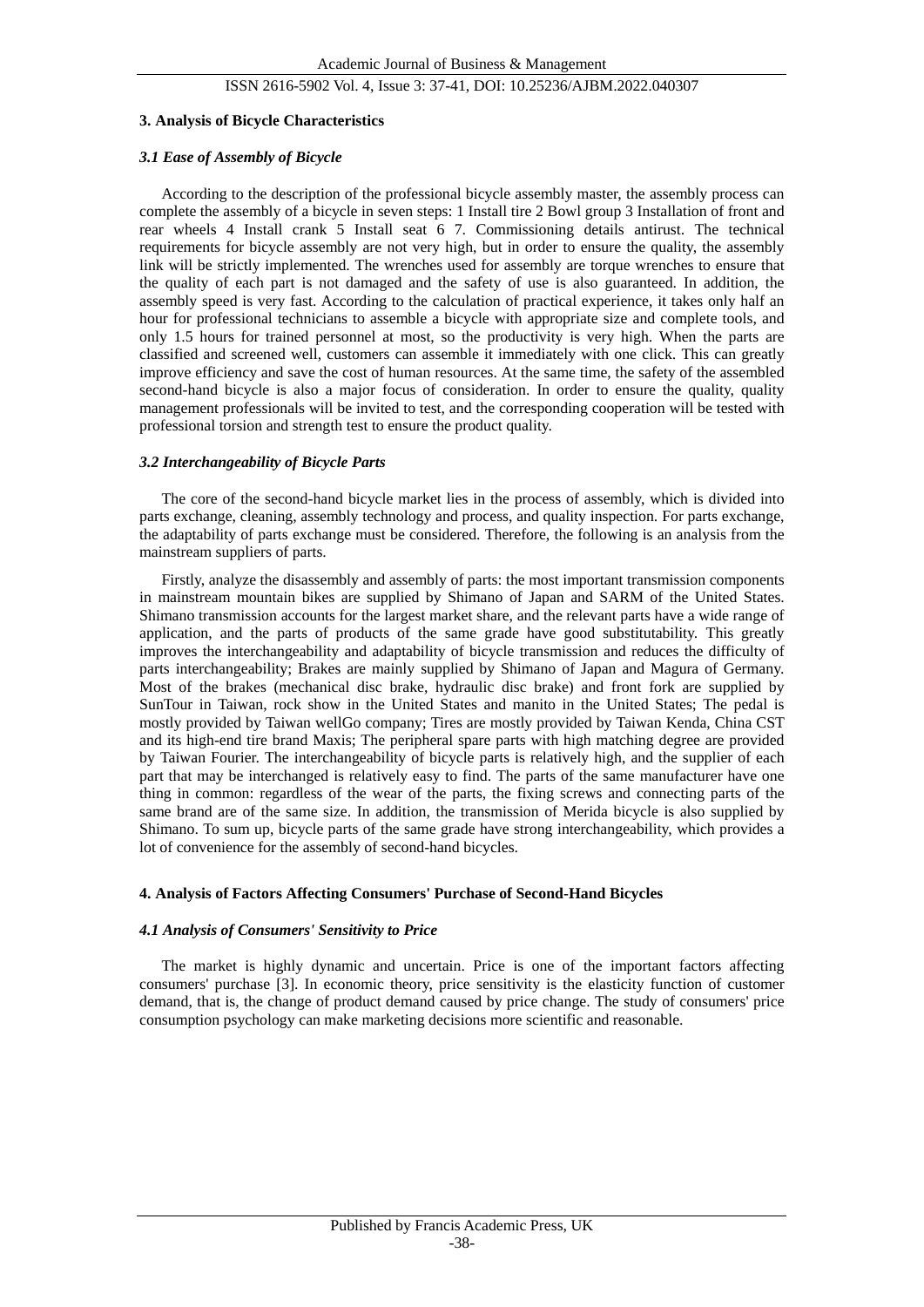#### ISSN 2616-5902 Vol. 4, Issue 3: 37-41, DOI: 10.25236/AJBM.2022.040307

#### **3. Analysis of Bicycle Characteristics**

#### *3.1 Ease of Assembly of Bicycle*

According to the description of the professional bicycle assembly master, the assembly process can complete the assembly of a bicycle in seven steps: 1 Install tire 2 Bowl group 3 Installation of front and rear wheels 4 Install crank 5 Install seat 6 7. Commissioning details antirust. The technical requirements for bicycle assembly are not very high, but in order to ensure the quality, the assembly link will be strictly implemented. The wrenches used for assembly are torque wrenches to ensure that the quality of each part is not damaged and the safety of use is also guaranteed. In addition, the assembly speed is very fast. According to the calculation of practical experience, it takes only half an hour for professional technicians to assemble a bicycle with appropriate size and complete tools, and only 1.5 hours for trained personnel at most, so the productivity is very high. When the parts are classified and screened well, customers can assemble it immediately with one click. This can greatly improve efficiency and save the cost of human resources. At the same time, the safety of the assembled second-hand bicycle is also a major focus of consideration. In order to ensure the quality, quality management professionals will be invited to test, and the corresponding cooperation will be tested with professional torsion and strength test to ensure the product quality.

#### *3.2 Interchangeability of Bicycle Parts*

The core of the second-hand bicycle market lies in the process of assembly, which is divided into parts exchange, cleaning, assembly technology and process, and quality inspection. For parts exchange, the adaptability of parts exchange must be considered. Therefore, the following is an analysis from the mainstream suppliers of parts.

Firstly, analyze the disassembly and assembly of parts: the most important transmission components in mainstream mountain bikes are supplied by Shimano of Japan and SARM of the United States. Shimano transmission accounts for the largest market share, and the relevant parts have a wide range of application, and the parts of products of the same grade have good substitutability. This greatly improves the interchangeability and adaptability of bicycle transmission and reduces the difficulty of parts interchangeability; Brakes are mainly supplied by Shimano of Japan and Magura of Germany. Most of the brakes (mechanical disc brake, hydraulic disc brake) and front fork are supplied by SunTour in Taiwan, rock show in the United States and manito in the United States; The pedal is mostly provided by Taiwan wellGo company; Tires are mostly provided by Taiwan Kenda, China CST and its high-end tire brand Maxis; The peripheral spare parts with high matching degree are provided by Taiwan Fourier. The interchangeability of bicycle parts is relatively high, and the supplier of each part that may be interchanged is relatively easy to find. The parts of the same manufacturer have one thing in common: regardless of the wear of the parts, the fixing screws and connecting parts of the same brand are of the same size. In addition, the transmission of Merida bicycle is also supplied by Shimano. To sum up, bicycle parts of the same grade have strong interchangeability, which provides a lot of convenience for the assembly of second-hand bicycles.

#### **4. Analysis of Factors Affecting Consumers' Purchase of Second-Hand Bicycles**

#### *4.1 Analysis of Consumers' Sensitivity to Price*

The market is highly dynamic and uncertain. Price is one of the important factors affecting consumers' purchase [3]. In economic theory, price sensitivity is the elasticity function of customer demand, that is, the change of product demand caused by price change. The study of consumers' price consumption psychology can make marketing decisions more scientific and reasonable.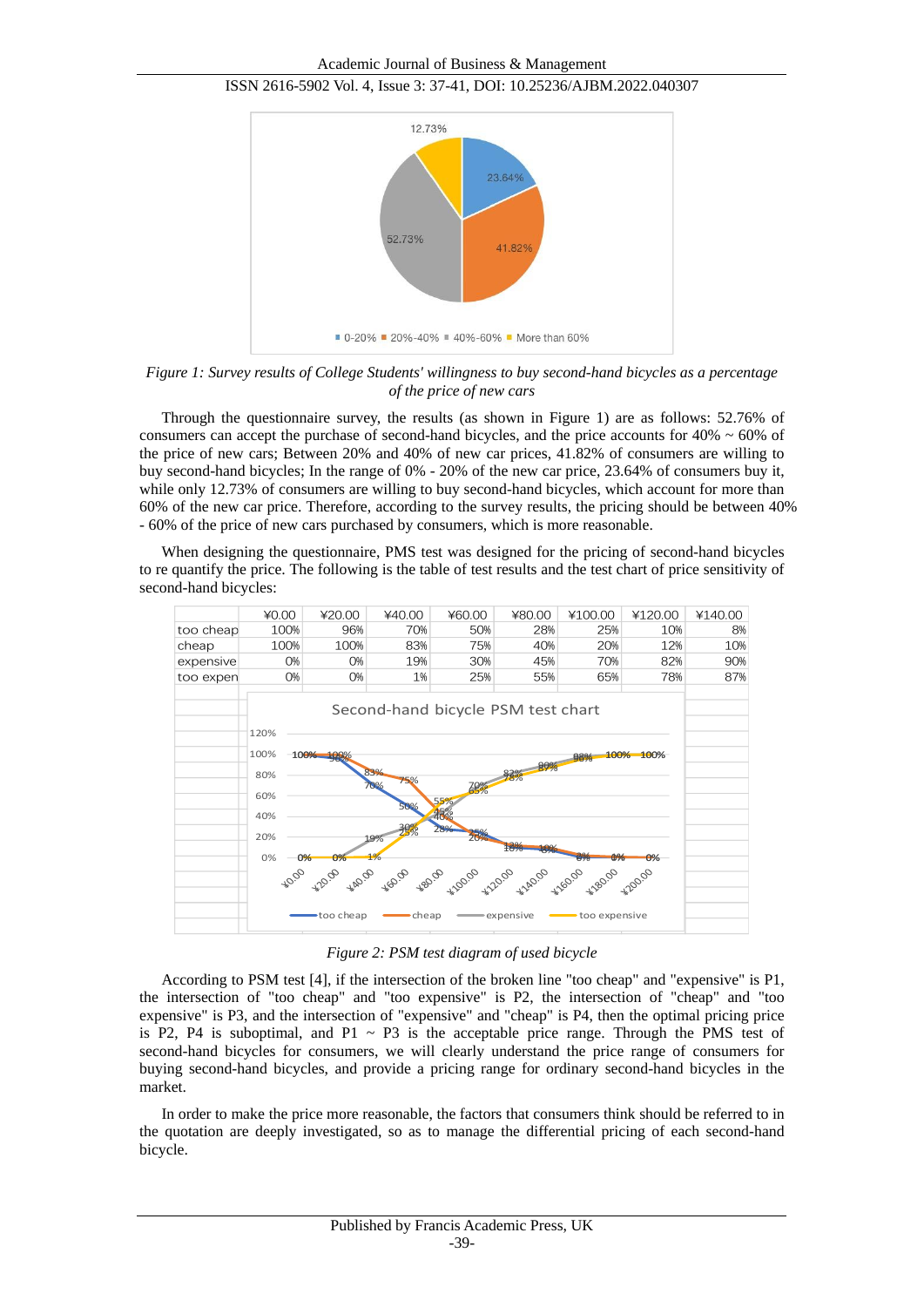#### ISSN 2616-5902 Vol. 4, Issue 3: 37-41, DOI: 10.25236/AJBM.2022.040307



*Figure 1: Survey results of College Students' willingness to buy second-hand bicycles as a percentage of the price of new cars*

Through the questionnaire survey, the results (as shown in Figure 1) are as follows: 52.76% of consumers can accept the purchase of second-hand bicycles, and the price accounts for  $40\% \sim 60\%$  of the price of new cars; Between 20% and 40% of new car prices, 41.82% of consumers are willing to buy second-hand bicycles; In the range of 0% - 20% of the new car price, 23.64% of consumers buy it, while only 12.73% of consumers are willing to buy second-hand bicycles, which account for more than 60% of the new car price. Therefore, according to the survey results, the pricing should be between 40% - 60% of the price of new cars purchased by consumers, which is more reasonable.

When designing the questionnaire, PMS test was designed for the pricing of second-hand bicycles to re quantify the price. The following is the table of test results and the test chart of price sensitivity of second-hand bicycles:



*Figure 2: PSM test diagram of used bicycle*

According to PSM test [4], if the intersection of the broken line "too cheap" and "expensive" is P1, the intersection of "too cheap" and "too expensive" is P2, the intersection of "cheap" and "too expensive" is P3, and the intersection of "expensive" and "cheap" is P4, then the optimal pricing price is P2, P4 is suboptimal, and P1  $\sim$  P3 is the acceptable price range. Through the PMS test of second-hand bicycles for consumers, we will clearly understand the price range of consumers for buying second-hand bicycles, and provide a pricing range for ordinary second-hand bicycles in the market.

In order to make the price more reasonable, the factors that consumers think should be referred to in the quotation are deeply investigated, so as to manage the differential pricing of each second-hand bicycle.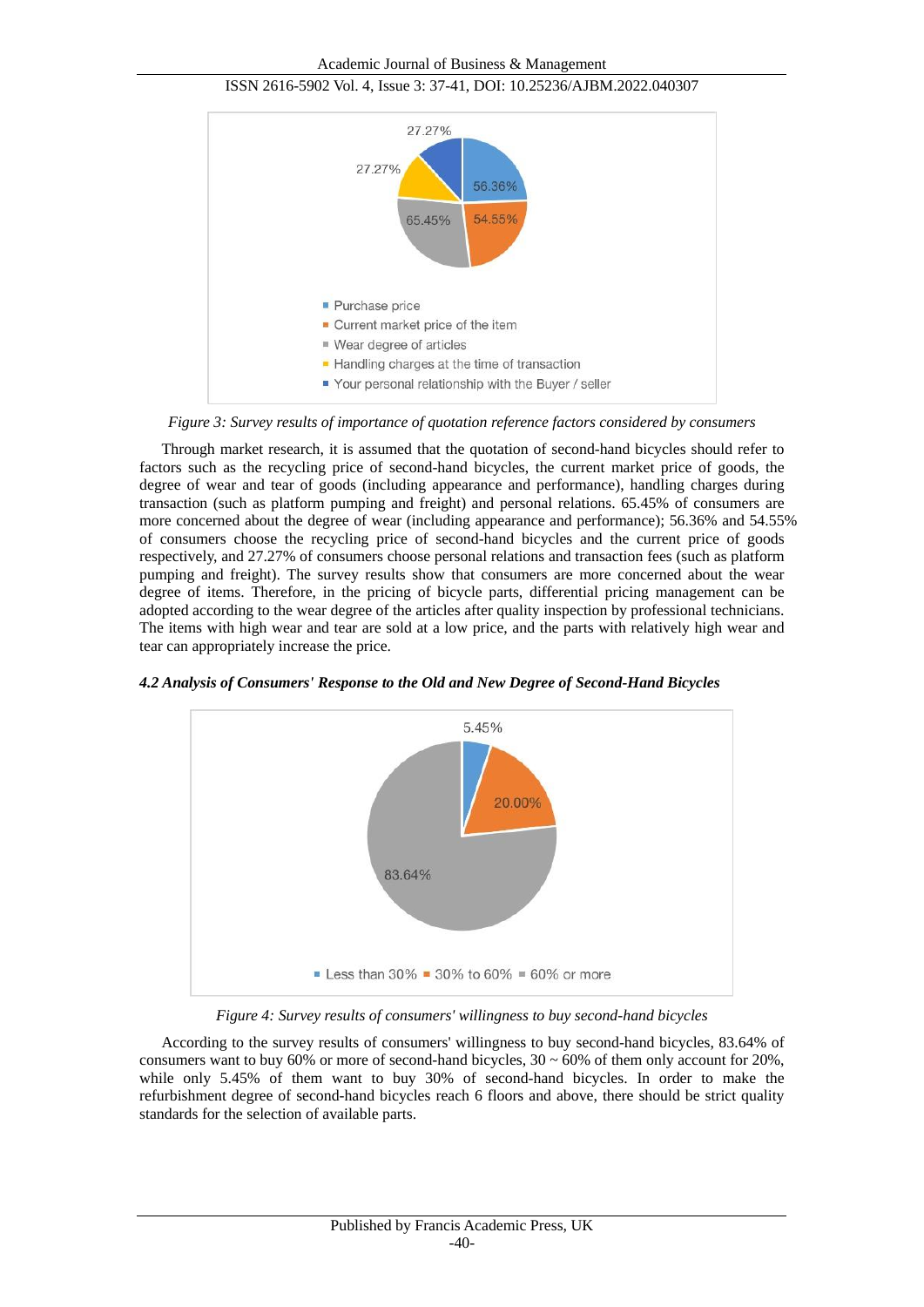Academic Journal of Business & Management



ISSN 2616-5902 Vol. 4, Issue 3: 37-41, DOI: 10.25236/AJBM.2022.040307



*Figure 3: Survey results of importance of quotation reference factors considered by consumers*

Through market research, it is assumed that the quotation of second-hand bicycles should refer to factors such as the recycling price of second-hand bicycles, the current market price of goods, the degree of wear and tear of goods (including appearance and performance), handling charges during transaction (such as platform pumping and freight) and personal relations. 65.45% of consumers are more concerned about the degree of wear (including appearance and performance); 56.36% and 54.55% of consumers choose the recycling price of second-hand bicycles and the current price of goods respectively, and 27.27% of consumers choose personal relations and transaction fees (such as platform pumping and freight). The survey results show that consumers are more concerned about the wear degree of items. Therefore, in the pricing of bicycle parts, differential pricing management can be adopted according to the wear degree of the articles after quality inspection by professional technicians. The items with high wear and tear are sold at a low price, and the parts with relatively high wear and tear can appropriately increase the price.

*4.2 Analysis of Consumers' Response to the Old and New Degree of Second-Hand Bicycles*



*Figure 4: Survey results of consumers' willingness to buy second-hand bicycles*

According to the survey results of consumers' willingness to buy second-hand bicycles, 83.64% of consumers want to buy 60% or more of second-hand bicycles,  $30 \sim 60\%$  of them only account for 20%, while only 5.45% of them want to buy 30% of second-hand bicycles. In order to make the refurbishment degree of second-hand bicycles reach 6 floors and above, there should be strict quality standards for the selection of available parts.